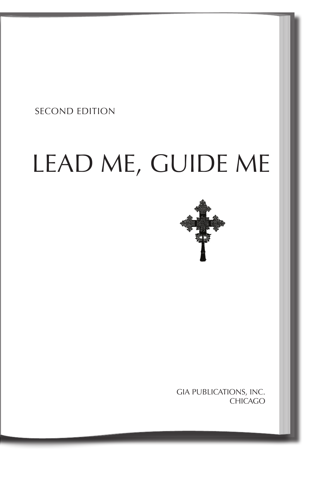SECOND EDITION

## LEAD ME, GUIDE ME



GIA PUBLICATIONS, INC. CHICAGO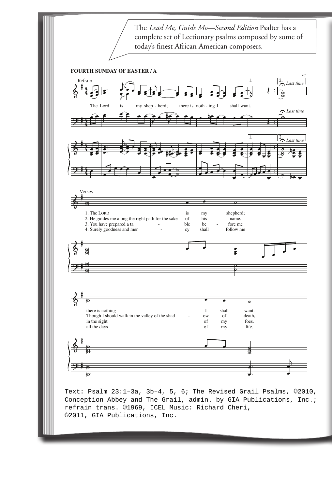The *Lead Me, Guide Me—Second Edition* Psalter has a complete set of Lectionary psalms composed by some of today's finest African American composers.

## **FOURTH SUNDAY OF EASTER / A**



refrain trans. ©1969, ICEL Music: Richard Cheri,

©2011, GIA Publications, Inc.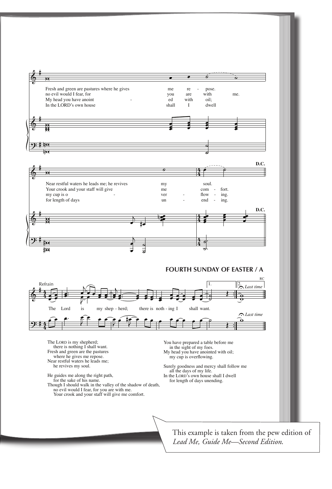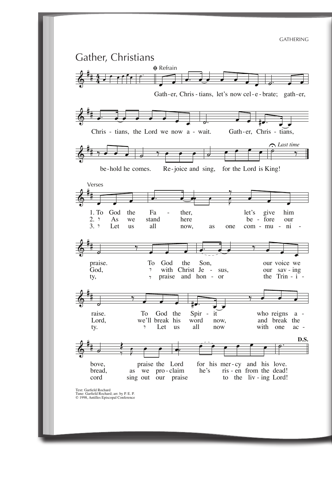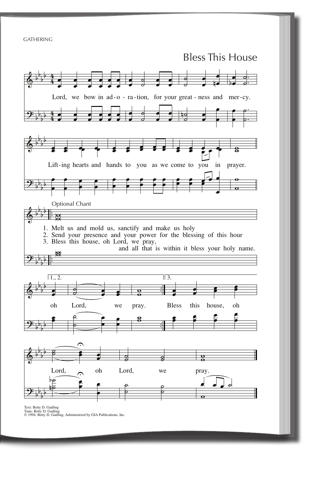

1111-LORDW-A page 1 4/12/11/11/11/11 and 12/11/11/11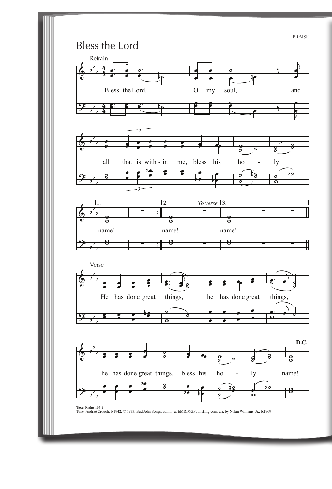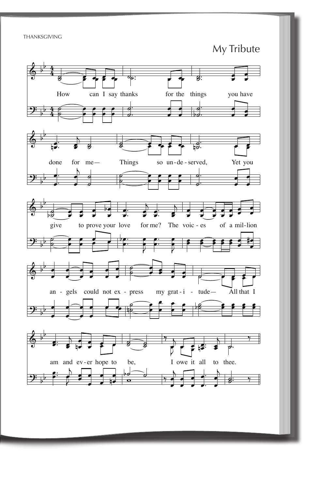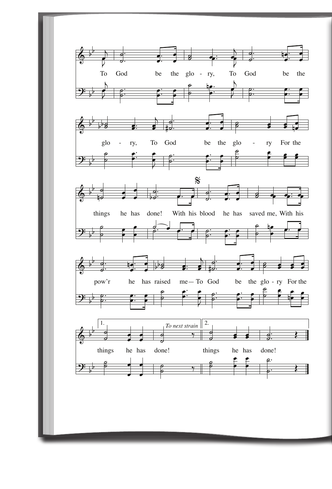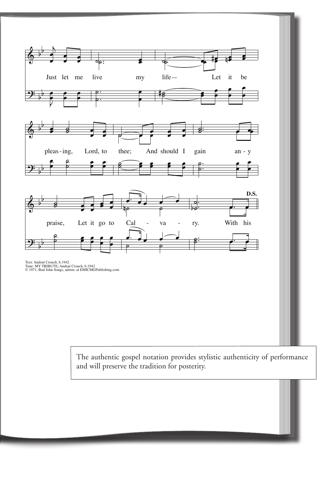

The authentic gospel notation provides stylistic authenticity of performance and will preserve the tradition for posterity.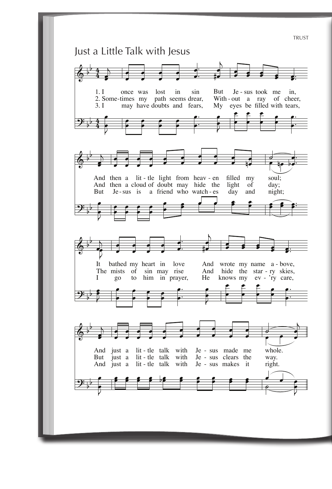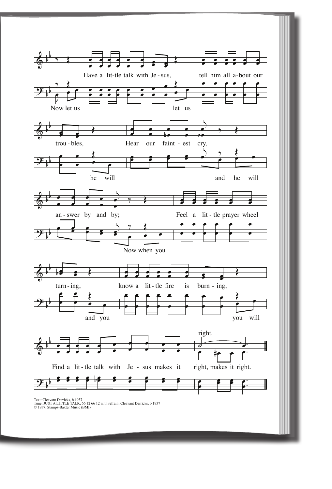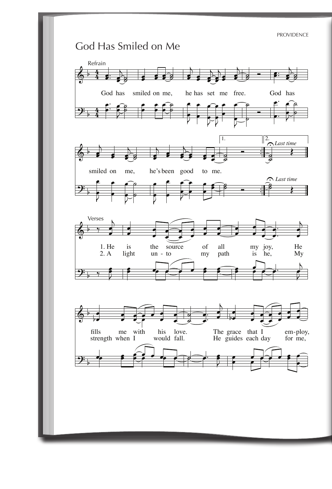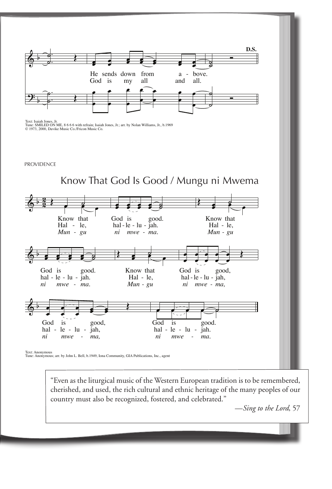

"Even as the liturgical music of the Western European tradition is to be remembered, cherished, and used, the rich cultural and ethnic heritage of the many peoples of our country must also be recognized, fostered, and celebrated."

-Sing to the Lord, 57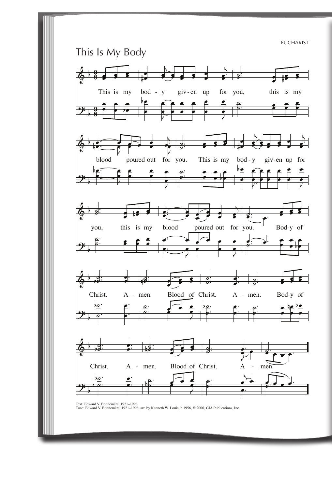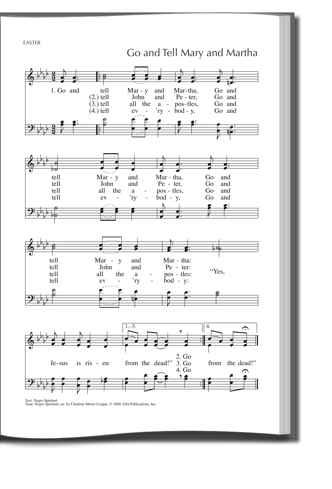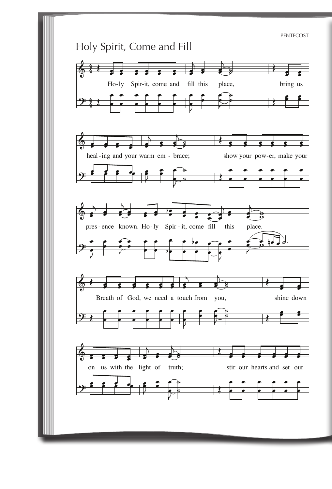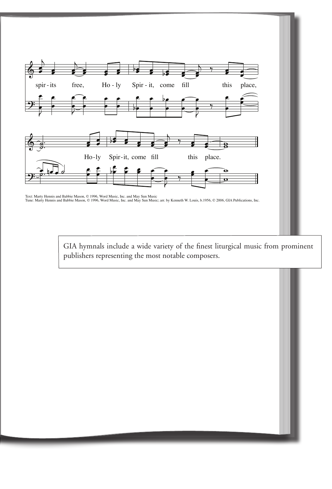

GIA hymnals include a wide variety of the finest liturgical music from prominent publishers representing the most notable composers.